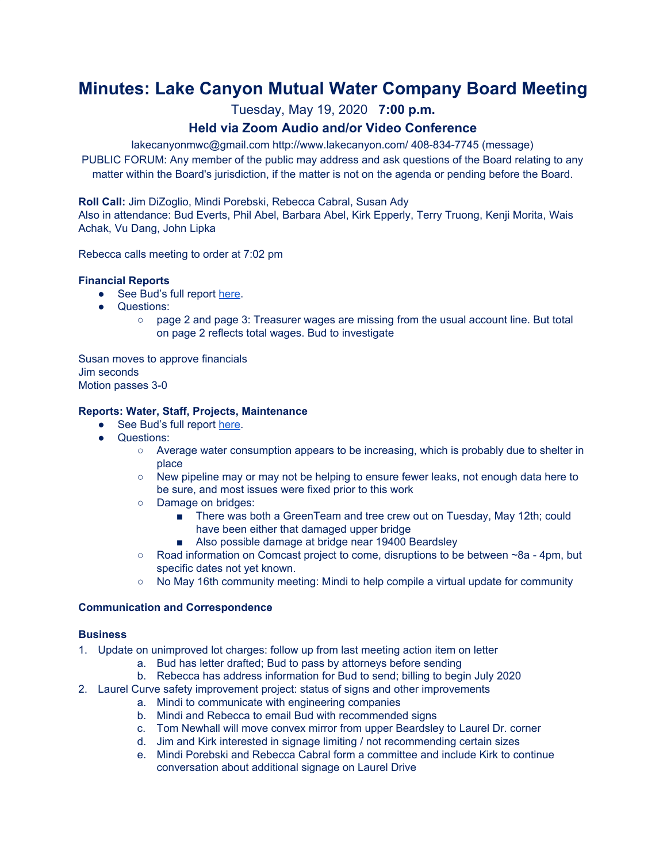# **Minutes: Lake Canyon Mutual Water Company Board Meeting**

Tuesday, May 19, 2020 **7:00 p.m.**

# **Held via Zoom Audio and/or Video Conference**

lakecanyonmwc@gmail.com http://www.lakecanyon.com/ 408-834-7745 (message)

PUBLIC FORUM: Any member of the public may address and ask questions of the Board relating to any matter within the Board's jurisdiction, if the matter is not on the agenda or pending before the Board.

**Roll Call:** Jim DiZoglio, Mindi Porebski, Rebecca Cabral, Susan Ady Also in attendance: Bud Everts, Phil Abel, Barbara Abel, Kirk Epperly, Terry Truong, Kenji Morita, Wais Achak, Vu Dang, John Lipka

Rebecca calls meeting to order at 7:02 pm

### **Financial Reports**

- See Bud's full report [here](https://7e761103-1889-4c62-a205-c99a02daa857.usrfiles.com/ugd/7e7611_518da7d6b6c942399be6a44e97d2095a.pdf).
- Questions:
	- page 2 and page 3: Treasurer wages are missing from the usual account line. But total on page 2 reflects total wages. Bud to investigate

Susan moves to approve financials Jim seconds Motion passes 3-0

### **Reports: Water, Staff, Projects, Maintenance**

- See Bud's full report [here](https://7e761103-1889-4c62-a205-c99a02daa857.usrfiles.com/ugd/7e7611_518da7d6b6c942399be6a44e97d2095a.pdf).
- Questions:
	- Average water consumption appears to be increasing, which is probably due to shelter in place
	- New pipeline may or may not be helping to ensure fewer leaks, not enough data here to be sure, and most issues were fixed prior to this work
	- Damage on bridges:
		- There was both a GreenTeam and tree crew out on Tuesday, May 12th; could have been either that damaged upper bridge
		- Also possible damage at bridge near 19400 Beardsley
	- $\circ$  Road information on Comcast project to come, disruptions to be between  $\sim$ 8a 4pm, but specific dates not yet known.
	- No May 16th community meeting: Mindi to help compile a virtual update for community

#### **Communication and Correspondence**

## **Business**

- 1. Update on unimproved lot charges: follow up from last meeting action item on letter
	- a. Bud has letter drafted; Bud to pass by attorneys before sending
	- b. Rebecca has address information for Bud to send; billing to begin July 2020
- 2. Laurel Curve safety improvement project: status of signs and other improvements
	- a. Mindi to communicate with engineering companies
	- b. Mindi and Rebecca to email Bud with recommended signs
	- c. Tom Newhall will move convex mirror from upper Beardsley to Laurel Dr. corner
	- d. Jim and Kirk interested in signage limiting / not recommending certain sizes
	- e. Mindi Porebski and Rebecca Cabral form a committee and include Kirk to continue conversation about additional signage on Laurel Drive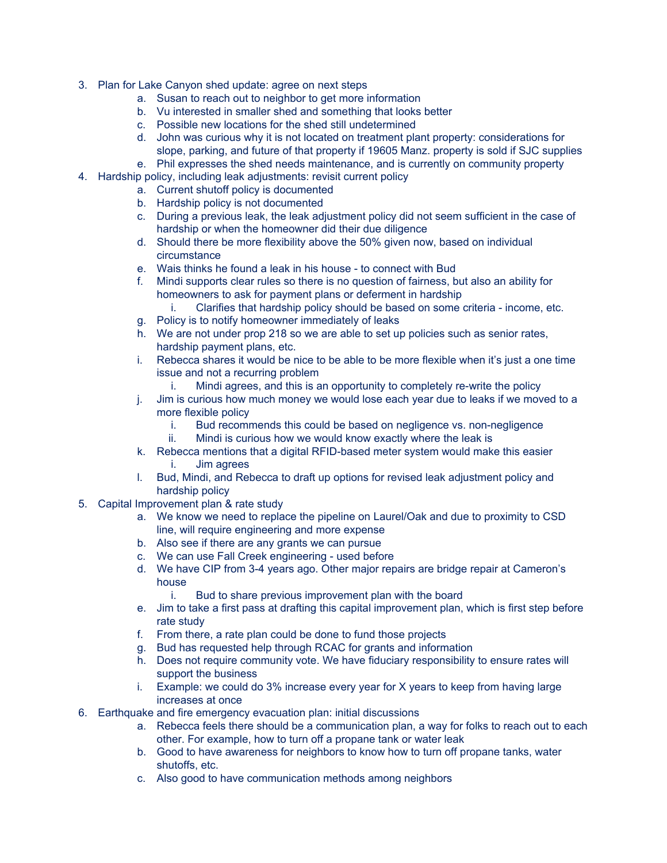- 3. Plan for Lake Canyon shed update: agree on next steps
	- a. Susan to reach out to neighbor to get more information
	- b. Vu interested in smaller shed and something that looks better
	- c. Possible new locations for the shed still undetermined
	- d. John was curious why it is not located on treatment plant property: considerations for slope, parking, and future of that property if 19605 Manz. property is sold if SJC supplies
	- e. Phil expresses the shed needs maintenance, and is currently on community property
- 4. Hardship policy, including leak adjustments: revisit current policy
	- a. Current shutoff policy is documented
		- b. Hardship policy is not documented
		- c. During a previous leak, the leak adjustment policy did not seem sufficient in the case of hardship or when the homeowner did their due diligence
		- d. Should there be more flexibility above the 50% given now, based on individual circumstance
		- e. Wais thinks he found a leak in his house to connect with Bud
		- f. Mindi supports clear rules so there is no question of fairness, but also an ability for homeowners to ask for payment plans or deferment in hardship
			- i. Clarifies that hardship policy should be based on some criteria income, etc.
		- g. Policy is to notify homeowner immediately of leaks
		- h. We are not under prop 218 so we are able to set up policies such as senior rates, hardship payment plans, etc.
		- i. Rebecca shares it would be nice to be able to be more flexible when it's just a one time issue and not a recurring problem
			- i. Mindi agrees, and this is an opportunity to completely re-write the policy
		- j. Jim is curious how much money we would lose each year due to leaks if we moved to a more flexible policy
			- i. Bud recommends this could be based on negligence vs. non-negligence
			- ii. Mindi is curious how we would know exactly where the leak is
		- k. Rebecca mentions that a digital RFID-based meter system would make this easier i. Jim agrees
		- l. Bud, Mindi, and Rebecca to draft up options for revised leak adjustment policy and hardship policy
- 5. Capital Improvement plan & rate study
	- a. We know we need to replace the pipeline on Laurel/Oak and due to proximity to CSD line, will require engineering and more expense
	- b. Also see if there are any grants we can pursue
	- c. We can use Fall Creek engineering used before
	- d. We have CIP from 3-4 years ago. Other major repairs are bridge repair at Cameron's house
		- i. Bud to share previous improvement plan with the board
	- e. Jim to take a first pass at drafting this capital improvement plan, which is first step before rate study
	- f. From there, a rate plan could be done to fund those projects
	- g. Bud has requested help through RCAC for grants and information
	- h. Does not require community vote. We have fiduciary responsibility to ensure rates will support the business
	- i. Example: we could do 3% increase every year for X years to keep from having large increases at once
- 6. Earthquake and fire emergency evacuation plan: initial discussions
	- a. Rebecca feels there should be a communication plan, a way for folks to reach out to each other. For example, how to turn off a propane tank or water leak
	- b. Good to have awareness for neighbors to know how to turn off propane tanks, water shutoffs, etc.
	- c. Also good to have communication methods among neighbors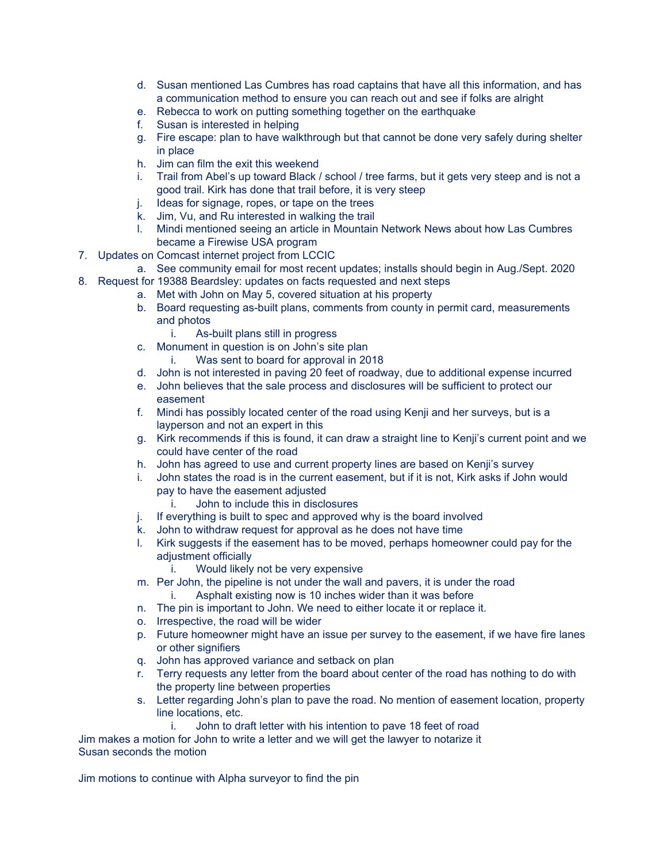- d. Susan mentioned Las Cumbres has road captains that have all this information, and has a communication method to ensure you can reach out and see if folks are alright
- e. Rebecca to work on putting something together on the earthquake
- f. Susan is interested in helping
- g. Fire escape: plan to have walkthrough but that cannot be done very safely during shelter in place
- h. Jim can film the exit this weekend
- i. Trail from Abel's up toward Black / school / tree farms, but it gets very steep and is not a good trail. Kirk has done that trail before, it is very steep
- j. Ideas for signage, ropes, or tape on the trees
- k. Jim, Vu, and Ru interested in walking the trail
- l. Mindi mentioned seeing an article in Mountain Network News about how Las Cumbres became a Firewise USA program
- 7. Updates on Comcast internet project from LCCIC
	- a. See community email for most recent updates; installs should begin in Aug./Sept. 2020
- 8. Request for 19388 Beardsley: updates on facts requested and next steps
	- a. Met with John on May 5, covered situation at his property
	- b. Board requesting as-built plans, comments from county in permit card, measurements and photos
		- i. As-built plans still in progress
	- c. Monument in question is on John's site plan
		- i. Was sent to board for approval in 2018
	- d. John is not interested in paving 20 feet of roadway, due to additional expense incurred
	- e. John believes that the sale process and disclosures will be sufficient to protect our easement
	- f. Mindi has possibly located center of the road using Kenji and her surveys, but is a layperson and not an expert in this
	- g. Kirk recommends if this is found, it can draw a straight line to Kenji's current point and we could have center of the road
	- h. John has agreed to use and current property lines are based on Kenji's survey
	- i. John states the road is in the current easement, but if it is not, Kirk asks if John would pay to have the easement adjusted
		- i. John to include this in disclosures
	- j. If everything is built to spec and approved why is the board involved
	- k. John to withdraw request for approval as he does not have time
	- l. Kirk suggests if the easement has to be moved, perhaps homeowner could pay for the adjustment officially
		- i. Would likely not be very expensive
	- m. Per John, the pipeline is not under the wall and pavers, it is under the road
		- i. Asphalt existing now is 10 inches wider than it was before
	- n. The pin is important to John. We need to either locate it or replace it.
	- o. Irrespective, the road will be wider
	- p. Future homeowner might have an issue per survey to the easement, if we have fire lanes or other signifiers
	- q. John has approved variance and setback on plan
	- r. Terry requests any letter from the board about center of the road has nothing to do with the property line between properties
	- s. Letter regarding John's plan to pave the road. No mention of easement location, property line locations, etc.
		- i. John to draft letter with his intention to pave 18 feet of road

Jim makes a motion for John to write a letter and we will get the lawyer to notarize it Susan seconds the motion

Jim motions to continue with Alpha surveyor to find the pin